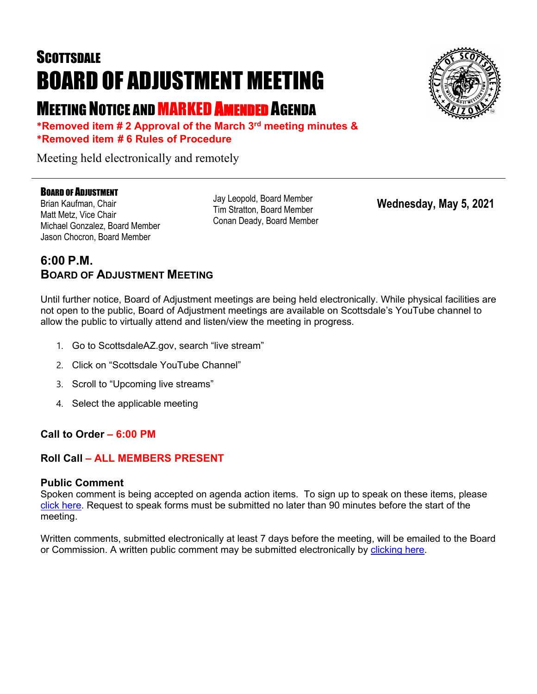# **SCOTTSDALE** BOARD OF ADJUSTMENT MEETING

## MEETING NOTICE AND MARKED AMENDED AGENDA

**\*Removed item # 2 Approval of the March 3rd meeting minutes & \*Removed item # 6 Rules of Procedure**

Meeting held electronically and remotely

### BOARD OF ADJUSTMENT

Brian Kaufman, Chair Matt Metz, Vice Chair Michael Gonzalez, Board Member Jason Chocron, Board Member

Jay Leopold, Board Member Tim Stratton, Board Member Conan Deady, Board Member

**Wednesday, May 5, 2021**

## **6:00 P.M. BOARD OF ADJUSTMENT MEETING**

Until further notice, Board of Adjustment meetings are being held electronically. While physical facilities are not open to the public, Board of Adjustment meetings are available on Scottsdale's YouTube channel to allow the public to virtually attend and listen/view the meeting in progress.

- 1. Go to ScottsdaleAZ.gov, search "live stream"
- 2. Click on "Scottsdale YouTube Channel"
- 3. Scroll to "Upcoming live streams"
- 4. Select the applicable meeting

### **Call to Order – 6:00 PM**

### **Roll Call – ALL MEMBERS PRESENT**

### **Public Comment**

Spoken comment is being accepted on agenda action items. To sign up to speak on these items, please [click here.](https://www.scottsdaleaz.gov/boards/board-of-adjustment/spoken-comment) Request to speak forms must be submitted no later than 90 minutes before the start of the meeting.

Written comments, submitted electronically at least 7 days before the meeting, will be emailed to the Board or Commission. A written public comment may be submitted electronically by [clicking here.](https://www.scottsdaleaz.gov/boards/board-of-adjustment/public-comment)